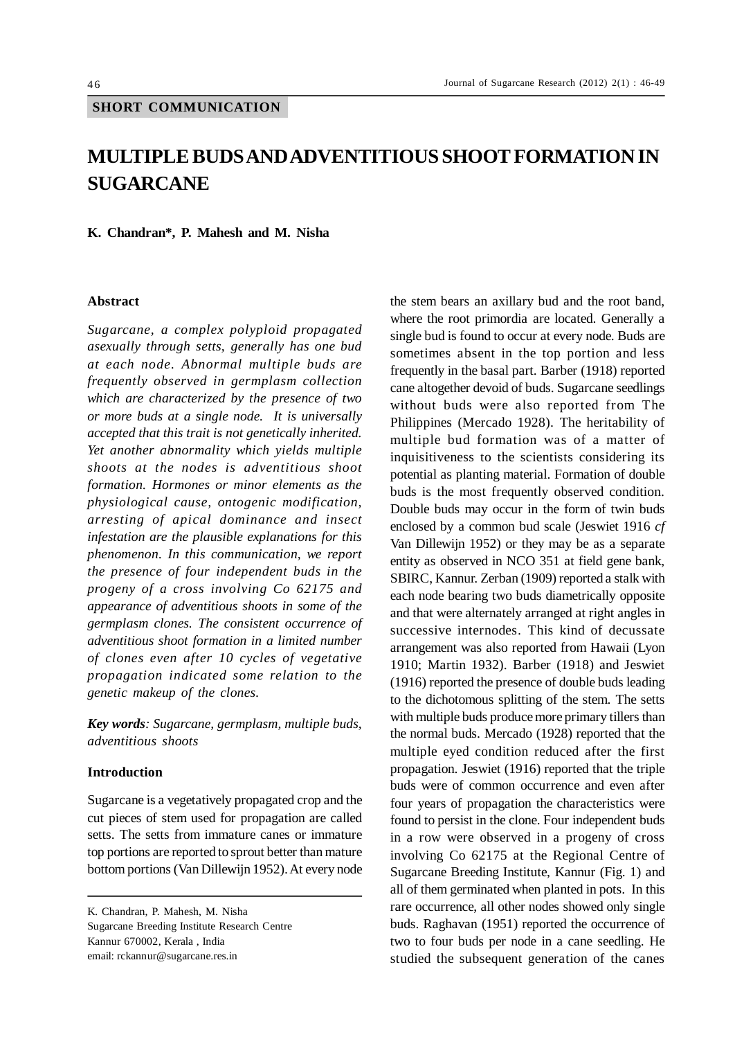## **MULTIPLE BUDS AND ADVENTITIOUS SHOOT FORMATION IN SUGARCANE**

**K. Chandran\*, P. Mahesh and M. Nisha**

## **Abstract**

*Sugarcane, a complex polyploid propagated asexually through setts, generally has one bud at each node. Abnormal multiple buds are frequently observed in germplasm collection which are characterized by the presence of two or more buds at a single node. It is universally accepted that this trait is not genetically inherited. Yet another abnormality which yields multiple shoots at the nodes is adventitious shoot formation. Hormones or minor elements as the physiological cause, ontogenic modification, arresting of apical dominance and insect infestation are the plausible explanations for this phenomenon. In this communication, we report the presence of four independent buds in the progeny of a cross involving Co 62175 and appearance of adventitious shoots in some of the germplasm clones. The consistent occurrence of adventitious shoot formation in a limited number of clones even after 10 cycles of vegetative propagation indicated some relation to the genetic makeup of the clones.*

*Key words: Sugarcane, germplasm, multiple buds, adventitious shoots*

## **Introduction**

Sugarcane is a vegetatively propagated crop and the cut pieces of stem used for propagation are called setts. The setts from immature canes or immature top portions are reported to sprout better than mature bottom portions (Van Dillewijn 1952). At every node

K. Chandran, P. Mahesh, M. Nisha Sugarcane Breeding Institute Research Centre Kannur 670002, Kerala , India email: rckannur@sugarcane.res.in

the stem bears an axillary bud and the root band, where the root primordia are located. Generally a single bud is found to occur at every node. Buds are sometimes absent in the top portion and less frequently in the basal part. Barber (1918) reported cane altogether devoid of buds. Sugarcane seedlings without buds were also reported from The Philippines (Mercado 1928). The heritability of multiple bud formation was of a matter of inquisitiveness to the scientists considering its potential as planting material. Formation of double buds is the most frequently observed condition. Double buds may occur in the form of twin buds enclosed by a common bud scale (Jeswiet 1916 *cf* Van Dillewijn 1952) or they may be as a separate entity as observed in NCO 351 at field gene bank, SBIRC, Kannur. Zerban (1909) reported a stalk with each node bearing two buds diametrically opposite and that were alternately arranged at right angles in successive internodes. This kind of decussate arrangement was also reported from Hawaii (Lyon 1910; Martin 1932). Barber (1918) and Jeswiet (1916) reported the presence of double buds leading to the dichotomous splitting of the stem. The setts with multiple buds produce more primary tillers than the normal buds. Mercado (1928) reported that the multiple eyed condition reduced after the first propagation. Jeswiet (1916) reported that the triple buds were of common occurrence and even after four years of propagation the characteristics were found to persist in the clone. Four independent buds in a row were observed in a progeny of cross involving Co 62175 at the Regional Centre of Sugarcane Breeding Institute, Kannur (Fig. 1) and all of them germinated when planted in pots. In this rare occurrence, all other nodes showed only single buds. Raghavan (1951) reported the occurrence of two to four buds per node in a cane seedling. He studied the subsequent generation of the canes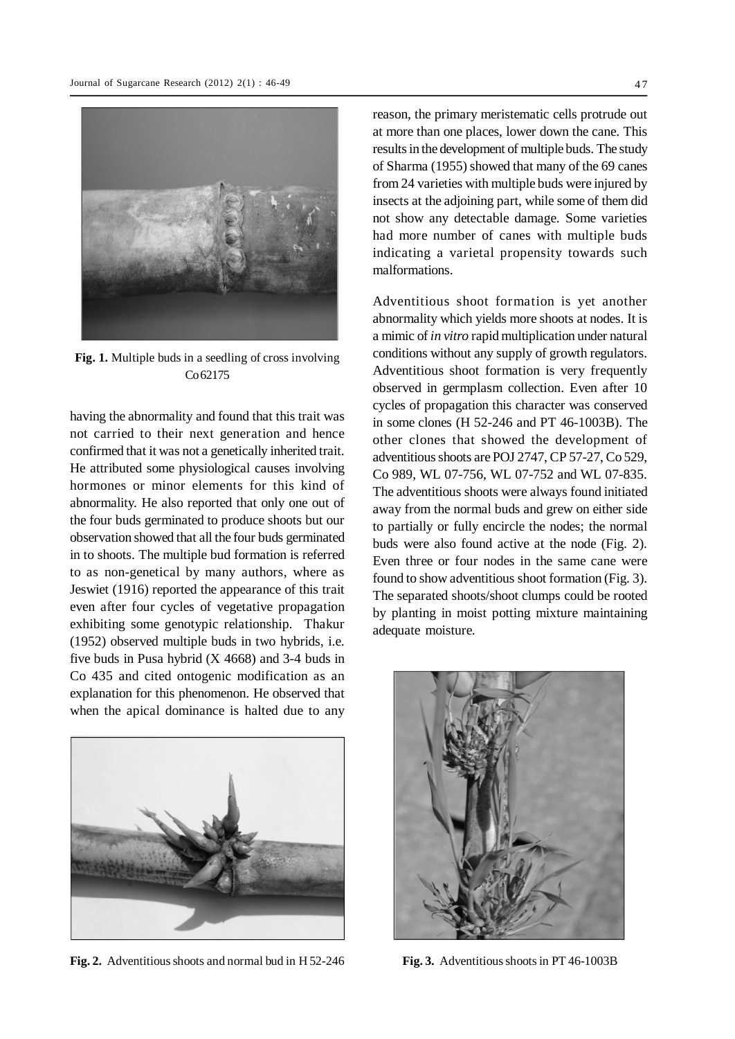

**Fig. 1.** Multiple buds in a seedling of cross involving Co 62175

having the abnormality and found that this trait was not carried to their next generation and hence confirmed that it was not a genetically inherited trait. He attributed some physiological causes involving hormones or minor elements for this kind of abnormality. He also reported that only one out of the four buds germinated to produce shoots but our observation showed that all the four buds germinated in to shoots. The multiple bud formation is referred to as non-genetical by many authors, where as Jeswiet (1916) reported the appearance of this trait even after four cycles of vegetative propagation exhibiting some genotypic relationship. Thakur (1952) observed multiple buds in two hybrids, i.e. five buds in Pusa hybrid (X 4668) and 3-4 buds in Co 435 and cited ontogenic modification as an explanation for this phenomenon. He observed that when the apical dominance is halted due to any



**Fig. 2.** Adventitious shoots and normal bud in H 52-246 **Fig. 3.** Adventitious shoots in PT 46-1003B

reason, the primary meristematic cells protrude out at more than one places, lower down the cane. This results in the development of multiple buds. The study of Sharma (1955) showed that many of the 69 canes from 24 varieties with multiple buds were injured by insects at the adjoining part, while some of them did not show any detectable damage. Some varieties had more number of canes with multiple buds indicating a varietal propensity towards such malformations.

Adventitious shoot formation is yet another abnormality which yields more shoots at nodes. It is a mimic of *in vitro* rapid multiplication under natural conditions without any supply of growth regulators. Adventitious shoot formation is very frequently observed in germplasm collection. Even after 10 cycles of propagation this character was conserved in some clones (H 52-246 and PT 46-1003B). The other clones that showed the development of adventitious shoots are POJ 2747, CP 57-27, Co 529, Co 989, WL 07-756, WL 07-752 and WL 07-835. The adventitious shoots were always found initiated away from the normal buds and grew on either side to partially or fully encircle the nodes; the normal buds were also found active at the node (Fig. 2). Even three or four nodes in the same cane were found to show adventitious shoot formation (Fig. 3). The separated shoots/shoot clumps could be rooted by planting in moist potting mixture maintaining adequate moisture.

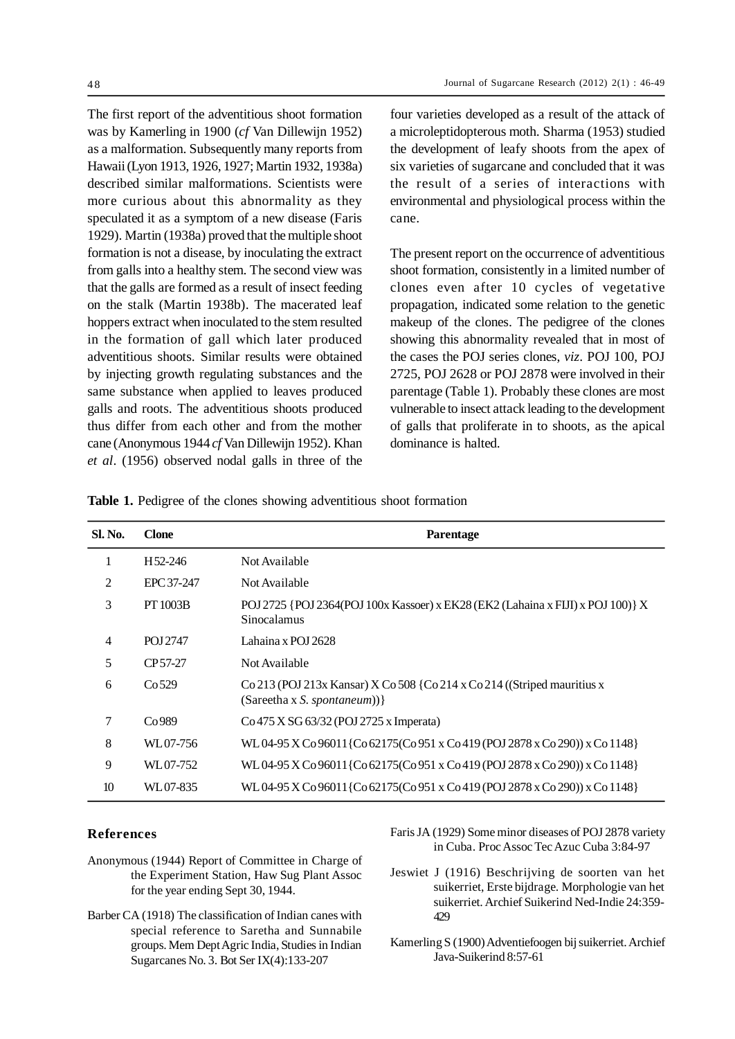The first report of the adventitious shoot formation was by Kamerling in 1900 (*cf* Van Dillewijn 1952) as a malformation. Subsequently many reports from Hawaii (Lyon 1913, 1926, 1927; Martin 1932, 1938a) described similar malformations. Scientists were more curious about this abnormality as they speculated it as a symptom of a new disease (Faris 1929). Martin (1938a) proved that the multiple shoot formation is not a disease, by inoculating the extract from galls into a healthy stem. The second view was that the galls are formed as a result of insect feeding on the stalk (Martin 1938b). The macerated leaf hoppers extract when inoculated to the stem resulted in the formation of gall which later produced adventitious shoots. Similar results were obtained by injecting growth regulating substances and the same substance when applied to leaves produced galls and roots. The adventitious shoots produced thus differ from each other and from the mother cane (Anonymous 1944 *cf* Van Dillewijn 1952). Khan *et al*. (1956) observed nodal galls in three of the four varieties developed as a result of the attack of a microleptidopterous moth. Sharma (1953) studied the development of leafy shoots from the apex of six varieties of sugarcane and concluded that it was the result of a series of interactions with environmental and physiological process within the cane.

The present report on the occurrence of adventitious shoot formation, consistently in a limited number of clones even after 10 cycles of vegetative propagation, indicated some relation to the genetic makeup of the clones. The pedigree of the clones showing this abnormality revealed that in most of the cases the POJ series clones, *viz*. POJ 100, POJ 2725, POJ 2628 or POJ 2878 were involved in their parentage (Table 1). Probably these clones are most vulnerable to insect attack leading to the development of galls that proliferate in to shoots, as the apical dominance is halted.

| Sl. No.        | <b>Clone</b>      | Parentage                                                                                                |
|----------------|-------------------|----------------------------------------------------------------------------------------------------------|
|                | H52-246           | Not Available                                                                                            |
| 2              | EPC 37-247        | Not Available                                                                                            |
| 3              | <b>PT 1003B</b>   | POJ 2725 {POJ 2364(POJ 100x Kassoer) x EK28 (EK2 (Lahaina x FIJI) x POJ 100)} X<br>Sinocalamus           |
| $\overline{4}$ | POJ 2747          | Lahaina x POJ 2628                                                                                       |
| 5              | CP 57-27          | Not Available                                                                                            |
| 6              | Co <sub>529</sub> | Co 213 (POJ 213x Kansar) X Co 508 {Co 214 x Co 214 ((Striped mauritius x<br>(Sareetha x S. spontaneum))} |
| 7              | Co989             | Co 475 X SG 63/32 (POJ 2725 x Imperata)                                                                  |
| 8              | WL07-756          | WL04-95 X Co 96011{Co 62175(Co 951 x Co 419 (POJ 2878 x Co 290)) x Co 1148}                              |
| 9              | WL07-752          | WL04-95 X Co 96011{Co 62175(Co 951 x Co 419 (POJ 2878 x Co 290)) x Co 1148}                              |
| 10             | WL07-835          | WL04-95 X Co 96011{Co 62175(Co 951 x Co 419 (POJ 2878 x Co 290)) x Co 1148}                              |

## **References**

- Anonymous (1944) Report of Committee in Charge of the Experiment Station, Haw Sug Plant Assoc for the year ending Sept 30, 1944.
- Barber CA (1918) The classification of Indian canes with special reference to Saretha and Sunnabile groups. Mem Dept Agric India, Studies in Indian Sugarcanes No. 3. Bot Ser IX(4):133-207
- Faris JA (1929) Some minor diseases of POJ 2878 variety in Cuba. Proc Assoc Tec Azuc Cuba 3:84-97
- Jeswiet J (1916) Beschrijving de soorten van het suikerriet, Erste bijdrage. Morphologie van het suikerriet. Archief Suikerind Ned-Indie 24:359- 429
- Kamerling S (1900) Adventiefoogen bij suikerriet. Archief Java-Suikerind 8:57-61